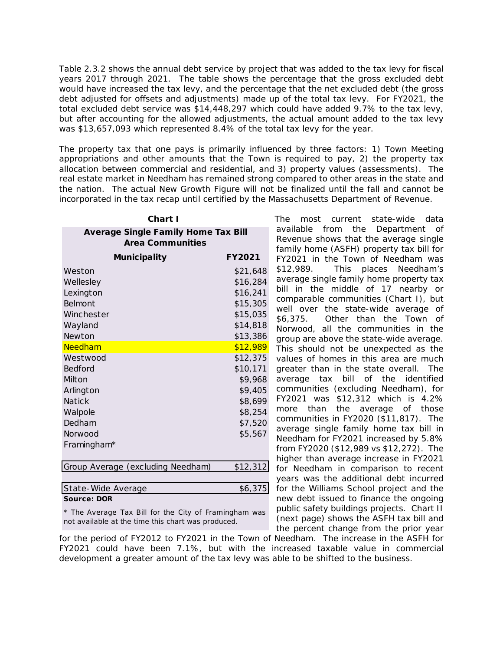Table 2.3.2 shows the annual debt service by project that was added to the tax levy for fiscal years 2017 through 2021. The table shows the percentage that the gross excluded debt would have increased the tax levy, and the percentage that the net excluded debt (the gross debt adjusted for offsets and adjustments) made up of the total tax levy. For FY2021, the total excluded debt service was \$14,448,297 which could have added 9.7% to the tax levy, but after accounting for the allowed adjustments, the actual amount added to the tax levy was \$13,657,093 which represented 8.4% of the total tax levy for the year.

The property tax that one pays is primarily influenced by three factors: 1) Town Meeting appropriations and other amounts that the Town is required to pay, 2) the property tax allocation between commercial and residential, and 3) property values (assessments). The real estate market in Needham has remained strong compared to other areas in the state and the nation. The actual New Growth Figure will not be finalized until the fall and cannot be incorporated in the tax recap until certified by the Massachusetts Department of Revenue.

|                                                                                                                                                                                                                                                                                                                                                                                                                                           | Fiscal Year 2021 Proposed Budget |                        |
|-------------------------------------------------------------------------------------------------------------------------------------------------------------------------------------------------------------------------------------------------------------------------------------------------------------------------------------------------------------------------------------------------------------------------------------------|----------------------------------|------------------------|
| Table 2.3.2 shows the annual debt service by project that w<br>years 2017 through 2021. The table shows the percenta<br>would have increased the tax levy, and the percentage that<br>debt adjusted for offsets and adjustments) made up of the<br>total excluded debt service was \$14,448,297 which could I<br>but after accounting for the allowed adjustments, the actu<br>was \$13,657,093 which represented 8.4% of the total tax I |                                  |                        |
| The property tax that one pays is primarily influenced by<br>appropriations and other amounts that the Town is requ<br>allocation between commercial and residential, and 3) pro<br>real estate market in Needham has remained strong compa<br>the nation. The actual New Growth Figure will not be fina<br>incorporated in the tax recap until certified by the Massach                                                                  |                                  |                        |
| Chart I                                                                                                                                                                                                                                                                                                                                                                                                                                   |                                  | <b>The</b><br><b>r</b> |
| <b>Average Single Family Home Tax Bill</b>                                                                                                                                                                                                                                                                                                                                                                                                |                                  | availab                |
| <b>Area Communities</b>                                                                                                                                                                                                                                                                                                                                                                                                                   |                                  | Revent                 |
| <b>Municipality</b>                                                                                                                                                                                                                                                                                                                                                                                                                       | FY2021                           | family<br>FY2021       |
| Weston                                                                                                                                                                                                                                                                                                                                                                                                                                    | \$21,648                         | \$12,98                |
| Wellesley                                                                                                                                                                                                                                                                                                                                                                                                                                 | \$16,284                         | averag                 |
| Lexington                                                                                                                                                                                                                                                                                                                                                                                                                                 | \$16,241                         | bill<br>in             |
| Belmont                                                                                                                                                                                                                                                                                                                                                                                                                                   | \$15,305                         | compa                  |
| Winchester                                                                                                                                                                                                                                                                                                                                                                                                                                | \$15,035                         | well o                 |
| Wayland                                                                                                                                                                                                                                                                                                                                                                                                                                   | \$14,818                         | \$6,375                |
| Newton                                                                                                                                                                                                                                                                                                                                                                                                                                    | \$13,386                         | <b>Norwo</b><br>group  |
| Needham                                                                                                                                                                                                                                                                                                                                                                                                                                   | \$12,989                         | This sl                |
| Westwood                                                                                                                                                                                                                                                                                                                                                                                                                                  | \$12,375                         | values                 |
| Bedford                                                                                                                                                                                                                                                                                                                                                                                                                                   | \$10,171                         | greate                 |
| Milton                                                                                                                                                                                                                                                                                                                                                                                                                                    | \$9,968                          | averag                 |
| Arlington                                                                                                                                                                                                                                                                                                                                                                                                                                 | \$9,405                          | commu                  |
| Natick                                                                                                                                                                                                                                                                                                                                                                                                                                    | \$8,699                          | FY2021                 |
| Walpole                                                                                                                                                                                                                                                                                                                                                                                                                                   | \$8,254                          | more                   |
| Dedham                                                                                                                                                                                                                                                                                                                                                                                                                                    | \$7,520                          | commu<br>averag        |
| Norwood                                                                                                                                                                                                                                                                                                                                                                                                                                   | \$5,567                          | Needha                 |
| Framingham*                                                                                                                                                                                                                                                                                                                                                                                                                               |                                  | from F                 |
|                                                                                                                                                                                                                                                                                                                                                                                                                                           |                                  | higher                 |
| Group Average (excluding Needham)                                                                                                                                                                                                                                                                                                                                                                                                         | \$12,312                         | for Ne                 |
|                                                                                                                                                                                                                                                                                                                                                                                                                                           |                                  | years i                |
| State-Wide Average<br><b>Source: DOR</b>                                                                                                                                                                                                                                                                                                                                                                                                  | \$6,375                          | for the<br>new de      |
|                                                                                                                                                                                                                                                                                                                                                                                                                                           |                                  | public:                |
| * The Average Tax Bill for the City of Framingham was<br>not available at the time this chart was produced.                                                                                                                                                                                                                                                                                                                               |                                  | (next p<br>the pe      |
| for the period of FY2012 to FY2021 in the Town of Needha<br>FY2021 could have been 7.1%, but with the increase<br>development a greater amount of the tax levy was able to                                                                                                                                                                                                                                                                |                                  |                        |
|                                                                                                                                                                                                                                                                                                                                                                                                                                           |                                  |                        |
|                                                                                                                                                                                                                                                                                                                                                                                                                                           | Section 2 - 4                    |                        |

The most current state-wide data available from the Department of Revenue shows that the average single family home (ASFH) property tax bill for FY2021 in the Town of Needham was \$12,989. This places Needham's average single family home property tax bill in the middle of 17 nearby or comparable communities (Chart I), but well over the state-wide average of \$6,375. Other than the Town of Norwood, all the communities in the group are above the state-wide average. This should not be unexpected as the values of homes in this area are much greater than in the state overall. The average tax bill of the identified communities (excluding Needham), for FY2021 was \$12,312 which is 4.2% more than the average of those communities in FY2020 (\$11,817). The average single family home tax bill in Needham for FY2021 increased by 5.8% from FY2020 (\$12,989 vs \$12,272). The higher than average increase in FY2021 for Needham in comparison to recent years was the additional debt incurred for the Williams School project and the new debt issued to finance the ongoing public safety buildings projects. Chart II (next page) shows the ASFH tax bill and the percent change from the prior year

for the period of FY2012 to FY2021 in the Town of Needham. The increase in the ASFH for FY2021 could have been 7.1%, but with the increased taxable value in commercial development a greater amount of the tax levy was able to be shifted to the business.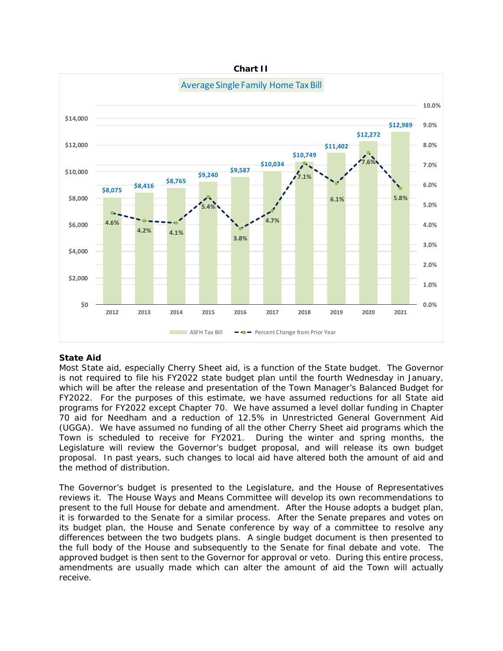

# **State Aid**

Most State aid, especially Cherry Sheet aid, is a function of the State budget. The Governor is not required to file his FY2022 state budget plan until the fourth Wednesday in January, which will be after the release and presentation of the Town Manager's Balanced Budget for FY2022. For the purposes of this estimate, we have assumed reductions for all State aid programs for FY2022 except Chapter 70. We have assumed a level dollar funding in Chapter 70 aid for Needham and a reduction of 12.5% in Unrestricted General Government Aid (UGGA). We have assumed no funding of all the other Cherry Sheet aid programs which the Town is scheduled to receive for FY2021. During the winter and spring months, the Legislature will review the Governor's budget proposal, and will release its own budget proposal. In past years, such changes to local aid have altered both the amount of aid and the method of distribution.

The Governor's budget is presented to the Legislature, and the House of Representatives reviews it. The House Ways and Means Committee will develop its own recommendations to present to the full House for debate and amendment. After the House adopts a budget plan, it is forwarded to the Senate for a similar process. After the Senate prepares and votes on its budget plan, the House and Senate conference by way of a committee to resolve any differences between the two budgets plans. A single budget document is then presented to the full body of the House and subsequently to the Senate for final debate and vote. The approved budget is then sent to the Governor for approval or veto. During this entire process, amendments are usually made which can alter the amount of aid the Town will actually receive.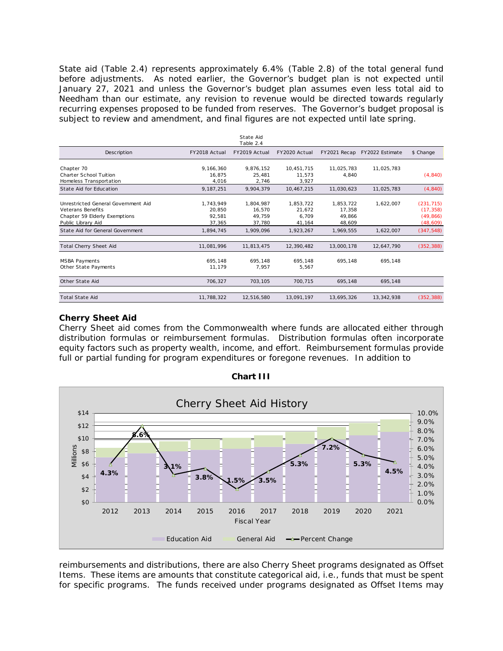State aid (Table 2.4) represents approximately 6.4% (Table 2.8) of the total general fund before adjustments. As noted earlier, the Governor's budget plan is not expected until January 27, 2021 and unless the Governor's budget plan assumes even less total aid to Needham than our estimate, any revision to revenue would be directed towards regularly recurring expenses proposed to be funded from reserves. The Governor's budget proposal is subject to review and amendment, and final figures are not expected until late spring.

|                                                                                                                        |                                         | State Aid<br>Table 2.4                  |                                        |                                         |                 |                                                   |
|------------------------------------------------------------------------------------------------------------------------|-----------------------------------------|-----------------------------------------|----------------------------------------|-----------------------------------------|-----------------|---------------------------------------------------|
| Description                                                                                                            | FY2018 Actual                           | FY2019 Actual                           | FY2020 Actual                          | FY2021 Recap                            | FY2022 Estimate | \$ Change                                         |
| Chapter 70<br><b>Charter School Tuition</b><br>Homeless Transportation                                                 | 9,166,360<br>16.875<br>4.016            | 9,876,152<br>25,481<br>2,746            | 10,451,715<br>11.573<br>3.927          | 11,025,783<br>4,840                     | 11,025,783      | (4, 840)                                          |
| State Aid for Education                                                                                                | 9,187,251                               | 9,904,379                               | 10,467,215                             | 11,030,623                              | 11,025,783      | (4, 840)                                          |
| Unrestricted General Government Aid<br><b>Veterans Benefits</b><br>Chapter 59 Elderly Exemptions<br>Public Library Aid | 1,743,949<br>20,850<br>92,581<br>37,365 | 1,804,987<br>16,570<br>49,759<br>37,780 | 1,853,722<br>21,672<br>6.709<br>41,164 | 1,853,722<br>17,358<br>49,866<br>48,609 | 1,622,007       | (231, 715)<br>(17, 358)<br>(49, 866)<br>(48, 609) |
| State Aid for General Government                                                                                       | 1,894,745                               | 1.909.096                               | 1,923,267                              | 1.969.555                               | 1,622,007       | (347, 548)                                        |
| Total Cherry Sheet Aid                                                                                                 | 11,081,996                              | 11,813,475                              | 12,390,482                             | 13,000,178                              | 12,647,790      | (352, 388)                                        |
| <b>MSBA Payments</b><br>Other State Payments                                                                           | 695.148<br>11,179                       | 695,148<br>7.957                        | 695,148<br>5,567                       | 695,148                                 | 695,148         |                                                   |
| Other State Aid                                                                                                        | 706,327                                 | 703,105                                 | 700,715                                | 695,148                                 | 695,148         |                                                   |
| <b>Total State Aid</b>                                                                                                 | 11,788,322                              | 12,516,580                              | 13,091,197                             | 13.695.326                              | 13.342.938      | (352, 388)                                        |

# **Cherry Sheet Aid**

Cherry Sheet aid comes from the Commonwealth where funds are allocated either through distribution formulas or reimbursement formulas. Distribution formulas often incorporate equity factors such as property wealth, income, and effort. Reimbursement formulas provide full or partial funding for program expenditures or foregone revenues. In addition to



**Chart III**

reimbursements and distributions, there are also Cherry Sheet programs designated as Offset Items. These items are amounts that constitute categorical aid, i.e., funds that must be spent for specific programs. The funds received under programs designated as Offset Items may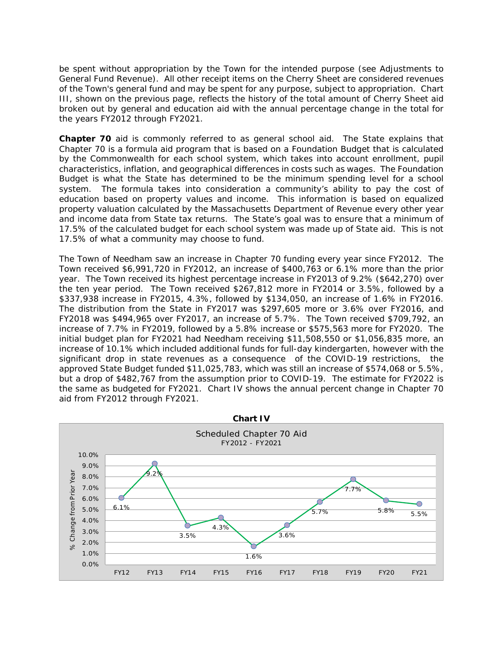be spent without appropriation by the Town for the intended purpose (see Adjustments to General Fund Revenue). All other receipt items on the Cherry Sheet are considered revenues of the Town's general fund and may be spent for any purpose, subject to appropriation. Chart III, shown on the previous page, reflects the history of the total amount of Cherry Sheet aid broken out by general and education aid with the annual percentage change in the total for the years FY2012 through FY2021.

**Chapter 70** aid is commonly referred to as general school aid. The State explains that Chapter 70 is a formula aid program that is based on a Foundation Budget that is calculated by the Commonwealth for each school system, which takes into account enrollment, pupil characteristics, inflation, and geographical differences in costs such as wages. The Foundation Budget is what the State has determined to be the minimum spending level for a school system. The formula takes into consideration a community's ability to pay the cost of education based on property values and income. This information is based on equalized property valuation calculated by the Massachusetts Department of Revenue every other year and income data from State tax returns. The State's goal was to ensure that a minimum of 17.5% of the calculated budget for each school system was made up of State aid. This is not 17.5% of what a community may choose to fund.

The Town of Needham saw an increase in Chapter 70 funding every year since FY2012. The Town received \$6,991,720 in FY2012, an increase of \$400,763 or 6.1% more than the prior year. The Town received its highest percentage increase in FY2013 of 9.2% (\$642,270) over the ten year period. The Town received \$267,812 more in FY2014 or 3.5%, followed by a \$337,938 increase in FY2015, 4.3%, followed by \$134,050, an increase of 1.6% in FY2016. The distribution from the State in FY2017 was \$297,605 more or 3.6% over FY2016, and FY2018 was \$494,965 over FY2017, an increase of 5.7%. The Town received \$709,792, an increase of 7.7% in FY2019, followed by a 5.8% increase or \$575,563 more for FY2020. The initial budget plan for FY2021 had Needham receiving \$11,508,550 or \$1,056,835 more, an increase of 10.1% which included additional funds for full-day kindergarten, however with the significant drop in state revenues as a consequence of the COVID-19 restrictions, the approved State Budget funded \$11,025,783, which was still an increase of \$574,068 or 5.5%, but a drop of \$482,767 from the assumption prior to COVID-19. The estimate for FY2022 is the same as budgeted for FY2021. Chart IV shows the annual percent change in Chapter 70 aid from FY2012 through FY2021.

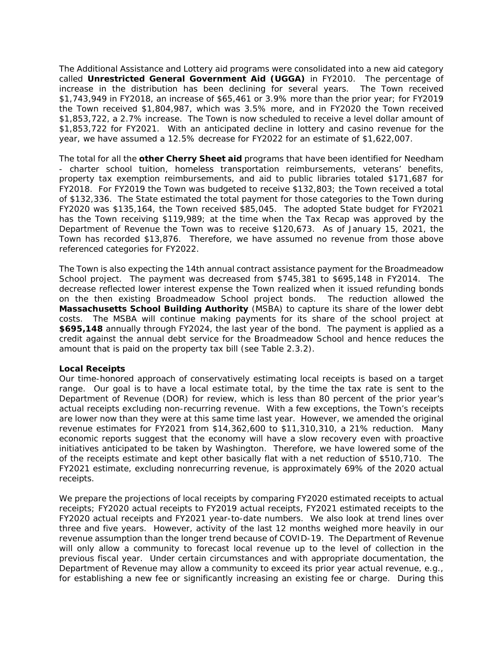The Additional Assistance and Lottery aid programs were consolidated into a new aid category called **Unrestricted General Government Aid (UGGA)** in FY2010. The percentage of increase in the distribution has been declining for several years. The Town received \$1,743,949 in FY2018, an increase of \$65,461 or 3.9% more than the prior year; for FY2019 the Town received \$1,804,987, which was 3.5% more, and in FY2020 the Town received \$1,853,722, a 2.7% increase. The Town is now scheduled to receive a level dollar amount of \$1,853,722 for FY2021. With an anticipated decline in lottery and casino revenue for the year, we have assumed a 12.5% decrease for FY2022 for an estimate of \$1,622,007.

The total for all the **other Cherry Sheet aid** programs that have been identified for Needham - charter school tuition, homeless transportation reimbursements, veterans' benefits, property tax exemption reimbursements, and aid to public libraries totaled \$171,687 for FY2018. For FY2019 the Town was budgeted to receive \$132,803; the Town received a total of \$132,336. The State estimated the total payment for those categories to the Town during FY2020 was \$135,164, the Town received \$85,045. The adopted State budget for FY2021 has the Town receiving \$119,989; at the time when the Tax Recap was approved by the Department of Revenue the Town was to receive \$120,673. As of January 15, 2021, the Town has recorded \$13,876. Therefore, we have assumed no revenue from those above referenced categories for FY2022.

The Town is also expecting the 14th annual contract assistance payment for the Broadmeadow School project. The payment was decreased from \$745,381 to \$695,148 in FY2014. The decrease reflected lower interest expense the Town realized when it issued refunding bonds on the then existing Broadmeadow School project bonds. The reduction allowed the **Massachusetts School Building Authority** (MSBA) to capture its share of the lower debt costs. The MSBA will continue making payments for its share of the school project at **\$695,148** annually through FY2024, the last year of the bond. The payment is applied as a credit against the annual debt service for the Broadmeadow School and hence reduces the amount that is paid on the property tax bill (see Table 2.3.2).

# **Local Receipts**

Our time-honored approach of conservatively estimating local receipts is based on a target range. Our goal is to have a local estimate total, by the time the tax rate is sent to the Department of Revenue (DOR) for review, which is less than 80 percent of the prior year's actual receipts excluding non-recurring revenue. With a few exceptions, the Town's receipts are lower now than they were at this same time last year. However, we amended the original revenue estimates for FY2021 from \$14,362,600 to \$11,310,310, a 21% reduction. Many economic reports suggest that the economy will have a slow recovery even with proactive initiatives anticipated to be taken by Washington. Therefore, we have lowered some of the of the receipts estimate and kept other basically flat with a net reduction of \$510,710. The FY2021 estimate, excluding nonrecurring revenue, is approximately 69% of the 2020 actual receipts. Fiscal Year 2021 Proposed Budget<br>
ery aid programs were co<br>
vermment Aid (UGGA)<br>
been declining for sever, a<br>
section 2 of \$65,461 or 3.9% more, a<br>
Foun is now scheed lued anticipated decline in location<br>
articipated decl

We prepare the projections of local receipts by comparing FY2020 estimated receipts to actual receipts; FY2020 actual receipts to FY2019 actual receipts, FY2021 estimated receipts to the FY2020 actual receipts and FY2021 year-to-date numbers. We also look at trend lines over three and five years. However, activity of the last 12 months weighed more heavily in our revenue assumption than the longer trend because of COVID-19. The Department of Revenue will only allow a community to forecast local revenue up to the level of collection in the previous fiscal year. Under certain circumstances and with appropriate documentation, the Department of Revenue may allow a community to exceed its prior year actual revenue, e.g., for establishing a new fee or significantly increasing an existing fee or charge. During this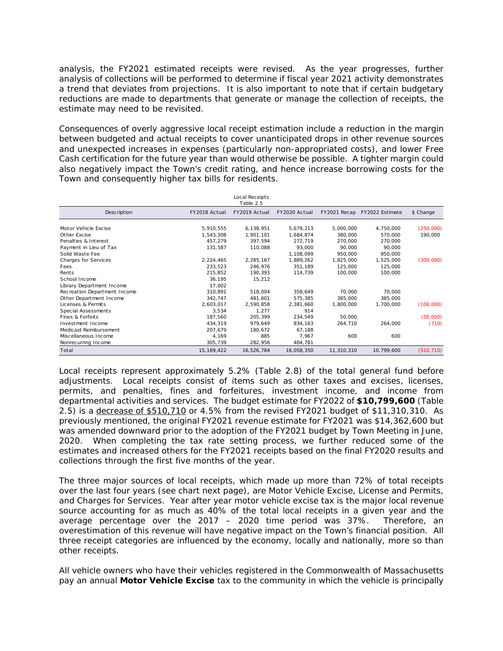| Fiscal Year 2021 Proposed Budget                                                                                                                                                              |                         |                             |                        |                      |                              |                      |  |
|-----------------------------------------------------------------------------------------------------------------------------------------------------------------------------------------------|-------------------------|-----------------------------|------------------------|----------------------|------------------------------|----------------------|--|
|                                                                                                                                                                                               |                         |                             |                        |                      |                              |                      |  |
| analysis, the FY2021 estimated receipts were revised. As the year progresses, further                                                                                                         |                         |                             |                        |                      |                              |                      |  |
| analysis of collections will be performed to determine if fiscal year 2021 activity demonstrates                                                                                              |                         |                             |                        |                      |                              |                      |  |
| a trend that deviates from projections. It is also important to note that if certain budgetary<br>reductions are made to departments that generate or manage the collection of receipts, the  |                         |                             |                        |                      |                              |                      |  |
| estimate may need to be revisited.                                                                                                                                                            |                         |                             |                        |                      |                              |                      |  |
| Consequences of overly aggressive local receipt estimation include a reduction in the margin                                                                                                  |                         |                             |                        |                      |                              |                      |  |
| between budgeted and actual receipts to cover unanticipated drops in other revenue sources                                                                                                    |                         |                             |                        |                      |                              |                      |  |
| and unexpected increases in expenses (particularly non-appropriated costs), and lower Free<br>Cash certification for the future year than would otherwise be possible. A tighter margin could |                         |                             |                        |                      |                              |                      |  |
| also negatively impact the Town's credit rating, and hence increase borrowing costs for the                                                                                                   |                         |                             |                        |                      |                              |                      |  |
| Town and consequently higher tax bills for residents.                                                                                                                                         |                         |                             |                        |                      |                              |                      |  |
|                                                                                                                                                                                               |                         | Local Receipts<br>Table 2.5 |                        |                      |                              |                      |  |
| Description                                                                                                                                                                                   | FY2018 Actual           | FY2019 Actual               | FY2020 Actual          |                      | FY2021 Recap FY2022 Estimate | \$ Change            |  |
| Motor Vehicle Excise<br>Other Excise                                                                                                                                                          | 5,910,555<br>1,543,308  | 6,138,951<br>1,901,101      | 5,679,213<br>1,684,874 | 5,000,000<br>380,000 | 4,750,000<br>570,000         | (250,000)<br>190,000 |  |
| Penalties & Interest<br>Payment in Lieu of Tax                                                                                                                                                | 457,279<br>131,587      | 397,594<br>110,088          | 272,719<br>93,000      | 270,000<br>90,000    | 270,000<br>90,000            |                      |  |
| Solid Waste Fee                                                                                                                                                                               |                         |                             | 1,108,099              | 950,000              | 950,000                      |                      |  |
| Charges for Services<br>Fees                                                                                                                                                                  | 2,224,465<br>233,523    | 2,285,167<br>246,976        | 1,889,262<br>351,189   | 1,825,000<br>125,000 | 1,525,000<br>125,000         | (300,000)            |  |
| Rents<br>School Income                                                                                                                                                                        | 215,852<br>36,195       | 190,393<br>15,212           | 114,739                | 100,000              | 100,000                      |                      |  |
| Library Department Income                                                                                                                                                                     | 17,002                  |                             |                        |                      |                              |                      |  |
| Recreation Department Income<br>Other Department Income                                                                                                                                       | 310,891<br>342,747      | 518,004<br>481,601          | 358,649<br>575,385     | 70,000<br>385,000    | 70,000<br>385,000            |                      |  |
| Licenses & Permits<br>Special Assessments                                                                                                                                                     | 2,603,017<br>3,534      | 2,590,858<br>1,277          | 2,381,660<br>914       | 1,800,000            | 1,700,000                    | (100,000)            |  |
| Fines & Forfeits                                                                                                                                                                              | 187,560                 | 205,399                     | 234,549                | 50,000               |                              | (50,000)             |  |
| Investment Income<br>Medicaid Reimbursement                                                                                                                                                   | 434,319<br>207,679      | 979,649<br>180,672          | 834,163<br>67,188      | 264,710              | 264,000                      | (710)                |  |
| Miscellaneous Income                                                                                                                                                                          | 4,169                   | 885                         | 7,967                  | 600                  | 600                          |                      |  |
| Nonrecurring Income<br>Total                                                                                                                                                                  | 305,739<br>15, 169, 422 | 282,956<br>16,526,784       | 404,781<br>16,058,350  | 11,310,310           | 10,799,600                   | (510, 710)           |  |
|                                                                                                                                                                                               |                         |                             |                        |                      |                              |                      |  |
| Local receipts represent approximately 5.2% (Table 2.8) of the total general fund before                                                                                                      |                         |                             |                        |                      |                              |                      |  |
| adjustments.<br>Local receipts consist of items such as other taxes and excises, licenses,                                                                                                    |                         |                             |                        |                      |                              |                      |  |
| penalties, fines and forfeitures, investment income, and income from<br>permits, and                                                                                                          |                         |                             |                        |                      |                              |                      |  |
| departmental activities and services. The budget estimate for FY2022 of \$10,799,600 (Table                                                                                                   |                         |                             |                        |                      |                              |                      |  |
| 2.5) is a decrease of \$510,710 or 4.5% from the revised FY2021 budget of \$11,310,310. As                                                                                                    |                         |                             |                        |                      |                              |                      |  |
| previously mentioned, the original FY2021 revenue estimate for FY2021 was \$14,362,600 but                                                                                                    |                         |                             |                        |                      |                              |                      |  |
| was amended downward prior to the adoption of the FY2021 budget by Town Meeting in June,                                                                                                      |                         |                             |                        |                      |                              |                      |  |
| 2020. When completing the tax rate setting process, we further reduced some of the                                                                                                            |                         |                             |                        |                      |                              |                      |  |
| estimates and increased others for the FY2021 receipts based on the final FY2020 results and                                                                                                  |                         |                             |                        |                      |                              |                      |  |
| collections through the first five months of the year.                                                                                                                                        |                         |                             |                        |                      |                              |                      |  |
|                                                                                                                                                                                               |                         |                             |                        |                      |                              |                      |  |
| The three major sources of local receipts, which made up more than 72% of total receipts<br>over the last four years (see chart next page), are Motor Vehicle Excise, License and Permits,    |                         |                             |                        |                      |                              |                      |  |
| and Charges for Services. Year after year motor vehicle excise tax is the major local revenue                                                                                                 |                         |                             |                        |                      |                              |                      |  |
| source accounting for as much as 40% of the total local receipts in a given year and the                                                                                                      |                         |                             |                        |                      |                              |                      |  |
| average percentage over the 2017 - 2020 time period was 37%.                                                                                                                                  |                         |                             |                        |                      |                              | Therefore, an        |  |
| overestimation of this revenue will have negative impact on the Town's financial position. All                                                                                                |                         |                             |                        |                      |                              |                      |  |
| three receipt categories are influenced by the economy, locally and nationally, more so than                                                                                                  |                         |                             |                        |                      |                              |                      |  |
| other receipts.                                                                                                                                                                               |                         |                             |                        |                      |                              |                      |  |
| All vehicle owners who have their vehicles registered in the Commonwealth of Massachusetts                                                                                                    |                         |                             |                        |                      |                              |                      |  |
| pay an annual Motor Vehicle Excise tax to the community in which the vehicle is principally                                                                                                   |                         |                             |                        |                      |                              |                      |  |
|                                                                                                                                                                                               |                         |                             |                        |                      |                              |                      |  |
|                                                                                                                                                                                               |                         |                             |                        |                      |                              |                      |  |
|                                                                                                                                                                                               |                         |                             |                        |                      |                              |                      |  |
|                                                                                                                                                                                               |                         | Section 2 - 9               |                        |                      |                              |                      |  |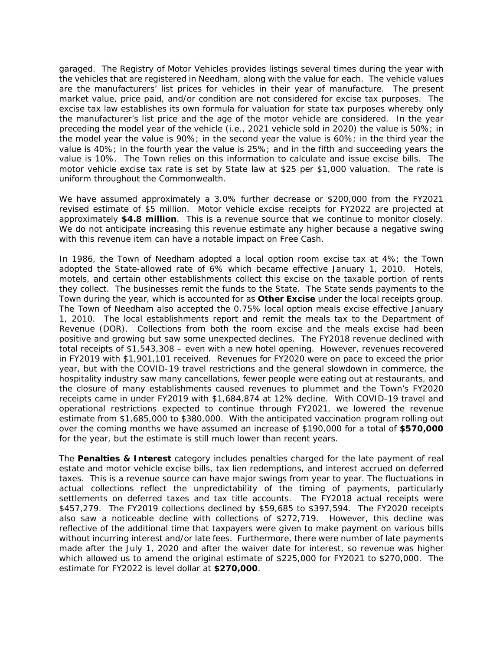garaged. The Registry of Motor Vehicles provides listings several times during the year with the vehicles that are registered in Needham, along with the value for each. The vehicle values are the manufacturers' list prices for vehicles in their year of manufacture. The present market value, price paid, and/or condition are not considered for excise tax purposes. The excise tax law establishes its own formula for valuation for state tax purposes whereby only the manufacturer's list price and the age of the motor vehicle are considered. In the year preceding the model year of the vehicle (i.e., 2021 vehicle sold in 2020) the value is 50%; in the model year the value is 90%; in the second year the value is 60%; in the third year the value is 40%; in the fourth year the value is 25%; and in the fifth and succeeding years the value is 10%. The Town relies on this information to calculate and issue excise bills. The motor vehicle excise tax rate is set by State law at \$25 per \$1,000 valuation. The rate is uniform throughout the Commonwealth.

We have assumed approximately a 3.0% further decrease or \$200,000 from the FY2021 revised estimate of \$5 million. Motor vehicle excise receipts for FY2022 are projected at approximately **\$4.8 million**. This is a revenue source that we continue to monitor closely. We do not anticipate increasing this revenue estimate any higher because a negative swing with this revenue item can have a notable impact on Free Cash.

In 1986, the Town of Needham adopted a local option room excise tax at 4%; the Town adopted the State-allowed rate of 6% which became effective January 1, 2010. Hotels, motels, and certain other establishments collect this excise on the taxable portion of rents they collect. The businesses remit the funds to the State. The State sends payments to the Town during the year, which is accounted for as **Other Excise** under the local receipts group. The Town of Needham also accepted the 0.75% local option meals excise effective January 1, 2010. The local establishments report and remit the meals tax to the Department of Revenue (DOR). Collections from both the room excise and the meals excise had been positive and growing but saw some unexpected declines. The FY2018 revenue declined with total receipts of \$1,543,308 – even with a new hotel opening. However, revenues recovered in FY2019 with \$1,901,101 received. Revenues for FY2020 were on pace to exceed the prior year, but with the COVID-19 travel restrictions and the general slowdown in commerce, the hospitality industry saw many cancellations, fewer people were eating out at restaurants, and the closure of many establishments caused revenues to plummet and the Town's FY2020 receipts came in under FY2019 with \$1,684,874 at 12% decline. With COVID-19 travel and operational restrictions expected to continue through FY2021, we lowered the revenue estimate from \$1,685,000 to \$380,000. With the anticipated vaccination program rolling out over the coming months we have assumed an increase of \$190,000 for a total of **\$570,000** for the year, but the estimate is still much lower than recent years. Fiscal Year 2021 Proposed Budget<br>
ehicles provides listings s<br>
Needham, along with the 1<br>
for vehicles in their year<br>
for chicles in their year<br>
formula for valuation for<br>
the age of the motor vel<br>
formula for valuation f

The **Penalties & Interest** category includes penalties charged for the late payment of real estate and motor vehicle excise bills, tax lien redemptions, and interest accrued on deferred taxes. This is a revenue source can have major swings from year to year. The fluctuations in actual collections reflect the unpredictability of the timing of payments, particularly settlements on deferred taxes and tax title accounts. The FY2018 actual receipts were \$457,279. The FY2019 collections declined by \$59,685 to \$397,594. The FY2020 receipts also saw a noticeable decline with collections of \$272,719. However, this decline was reflective of the additional time that taxpayers were given to make payment on various bills without incurring interest and/or late fees. Furthermore, there were number of late payments made after the July 1, 2020 and after the waiver date for interest, so revenue was higher which allowed us to amend the original estimate of \$225,000 for FY2021 to \$270,000. The estimate for FY2022 is level dollar at **\$270,000**.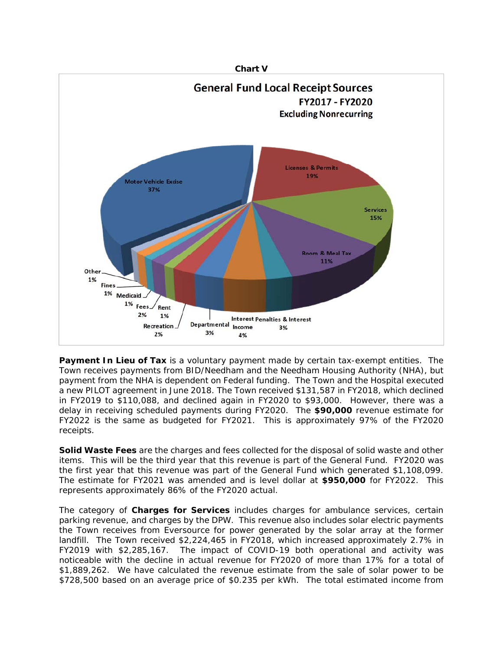

**Payment In Lieu of Tax** is a voluntary payment made by certain tax-exempt entities. The Town receives payments from BID/Needham and the Needham Housing Authority (NHA), but payment from the NHA is dependent on Federal funding. The Town and the Hospital executed a new PILOT agreement in June 2018. The Town received \$131,587 in FY2018, which declined in FY2019 to \$110,088, and declined again in FY2020 to \$93,000. However, there was a delay in receiving scheduled payments during FY2020. The **\$90,000** revenue estimate for FY2022 is the same as budgeted for FY2021. This is approximately 97% of the FY2020 receipts.

**Solid Waste Fees** are the charges and fees collected for the disposal of solid waste and other items. This will be the third year that this revenue is part of the General Fund. FY2020 was the first year that this revenue was part of the General Fund which generated \$1,108,099. The estimate for FY2021 was amended and is level dollar at **\$950,000** for FY2022. This represents approximately 86% of the FY2020 actual.

The category of **Charges for Services** includes charges for ambulance services, certain parking revenue, and charges by the DPW. This revenue also includes solar electric payments the Town receives from Eversource for power generated by the solar array at the former landfill. The Town received \$2,224,465 in FY2018, which increased approximately 2.7% in FY2019 with \$2,285,167. The impact of COVID-19 both operational and activity was noticeable with the decline in actual revenue for FY2020 of more than 17% for a total of \$1,889,262. We have calculated the revenue estimate from the sale of solar power to be \$728,500 based on an average price of \$0.235 per kWh. The total estimated income from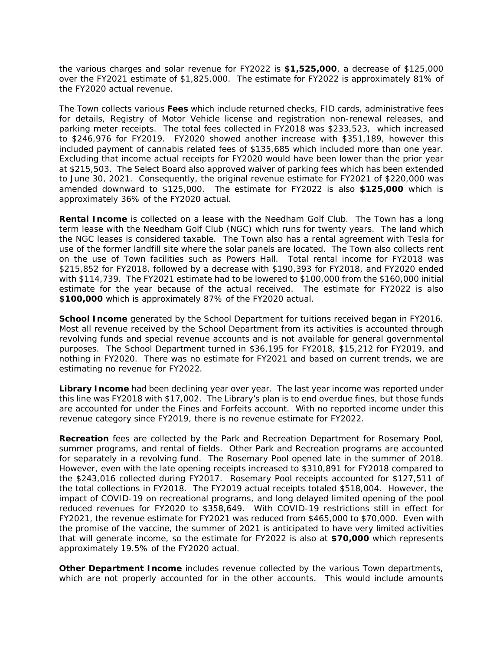the various charges and solar revenue for FY2022 is **\$1,525,000**, a decrease of \$125,000 over the FY2021 estimate of \$1,825,000. The estimate for FY2022 is approximately 81% of the FY2020 actual revenue.

The Town collects various **Fees** which include returned checks, FID cards, administrative fees for details, Registry of Motor Vehicle license and registration non-renewal releases, and parking meter receipts. The total fees collected in FY2018 was \$233,523, which increased to \$246,976 for FY2019. FY2020 showed another increase with \$351,189, however this included payment of cannabis related fees of \$135,685 which included more than one year. Excluding that income actual receipts for FY2020 would have been lower than the prior year at \$215,503. The Select Board also approved waiver of parking fees which has been extended to June 30, 2021. Consequently, the original revenue estimate for FY2021 of \$220,000 was amended downward to \$125,000. The estimate for FY2022 is also **\$125,000** which is approximately 36% of the FY2020 actual.

**Rental Income** is collected on a lease with the Needham Golf Club. The Town has a long term lease with the Needham Golf Club (NGC) which runs for twenty years. The land which the NGC leases is considered taxable. The Town also has a rental agreement with Tesla for use of the former landfill site where the solar panels are located. The Town also collects rent on the use of Town facilities such as Powers Hall. Total rental income for FY2018 was \$215,852 for FY2018, followed by a decrease with \$190,393 for FY2018, and FY2020 ended with \$114,739. The FY2021 estimate had to be lowered to \$100,000 from the \$160,000 initial estimate for the year because of the actual received. The estimate for FY2022 is also **\$100,000** which is approximately 87% of the FY2020 actual.

**School Income** generated by the School Department for tuitions received began in FY2016. Most all revenue received by the School Department from its activities is accounted through revolving funds and special revenue accounts and is not available for general governmental purposes. The School Department turned in \$36,195 for FY2018, \$15,212 for FY2019, and nothing in FY2020. There was no estimate for FY2021 and based on current trends, we are estimating no revenue for FY2022.

**Library Income** had been declining year over year. The last year income was reported under this line was FY2018 with \$17,002. The Library's plan is to end overdue fines, but those funds are accounted for under the Fines and Forfeits account. With no reported income under this revenue category since FY2019, there is no revenue estimate for FY2022.

**Recreation** fees are collected by the Park and Recreation Department for Rosemary Pool, summer programs, and rental of fields. Other Park and Recreation programs are accounted for separately in a revolving fund. The Rosemary Pool opened late in the summer of 2018. However, even with the late opening receipts increased to \$310,891 for FY2018 compared to the \$243,016 collected during FY2017. Rosemary Pool receipts accounted for \$127,511 of the total collections in FY2018. The FY2019 actual receipts totaled \$518,004. However, the impact of COVID-19 on recreational programs, and long delayed limited opening of the pool reduced revenues for FY2020 to \$358,649. With COVID-19 restrictions still in effect for FY2021, the revenue estimate for FY2021 was reduced from \$465,000 to \$70,000. Even with the promise of the vaccine, the summer of 2021 is anticipated to have very limited activities that will generate income, so the estimate for FY2022 is also at **\$70,000** which represents approximately 19.5% of the FY2020 actual. Fiscal Year 2021 Proposed Budget<br>
enue for FY2022 is \$1,5<br>
25,000. The estimate for<br>
hich include returned che<br>
hicle license and registrices<br>
frees collected in FY2018<br>
16 frees collected in FY2018<br>
to a sport and the ori

**Other Department Income** includes revenue collected by the various Town departments, which are not properly accounted for in the other accounts. This would include amounts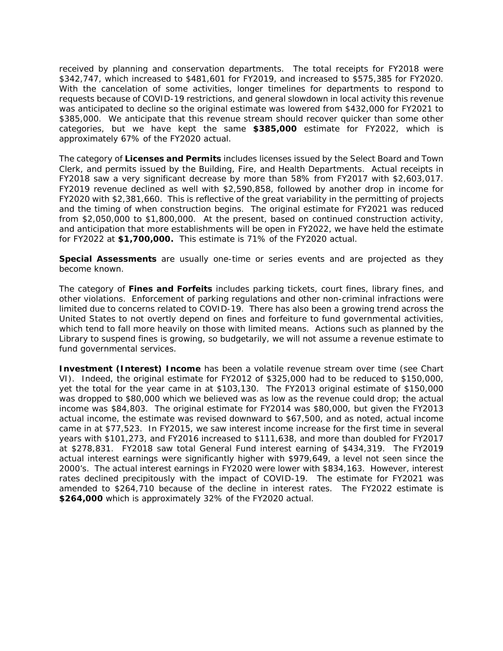received by planning and conservation departments. The total receipts for FY2018 were \$342,747, which increased to \$481,601 for FY2019, and increased to \$575,385 for FY2020. With the cancelation of some activities, longer timelines for departments to respond to requests because of COVID-19 restrictions, and general slowdown in local activity this revenue was anticipated to decline so the original estimate was lowered from \$432,000 for FY2021 to \$385,000. We anticipate that this revenue stream should recover quicker than some other categories, but we have kept the same **\$385,000** estimate for FY2022, which is approximately 67% of the FY2020 actual.

The category of **Licenses and Permits** includes licenses issued by the Select Board and Town Clerk, and permits issued by the Building, Fire, and Health Departments. Actual receipts in FY2018 saw a very significant decrease by more than 58% from FY2017 with \$2,603,017. FY2019 revenue declined as well with \$2,590,858, followed by another drop in income for FY2020 with \$2,381,660. This is reflective of the great variability in the permitting of projects and the timing of when construction begins. The original estimate for FY2021 was reduced from \$2,050,000 to \$1,800,000. At the present, based on continued construction activity, and anticipation that more establishments will be open in FY2022, we have held the estimate for FY2022 at **\$1,700,000.** This estimate is 71% of the FY2020 actual.

**Special Assessments** are usually one-time or series events and are projected as they become known.

The category of **Fines and Forfeits** includes parking tickets, court fines, library fines, and other violations. Enforcement of parking regulations and other non-criminal infractions were limited due to concerns related to COVID-19. There has also been a growing trend across the United States to not overtly depend on fines and forfeiture to fund governmental activities, which tend to fall more heavily on those with limited means. Actions such as planned by the Library to suspend fines is growing, so budgetarily, we will not assume a revenue estimate to fund governmental services.

**Investment (Interest) Income** has been a volatile revenue stream over time (see Chart VI). Indeed, the original estimate for FY2012 of \$325,000 had to be reduced to \$150,000, yet the total for the year came in at \$103,130. The FY2013 original estimate of \$150,000 was dropped to \$80,000 which we believed was as low as the revenue could drop; the actual income was \$84,803. The original estimate for FY2014 was \$80,000, but given the FY2013 actual income, the estimate was revised downward to \$67,500, and as noted, actual income came in at \$77,523. In FY2015, we saw interest income increase for the first time in several years with \$101,273, and FY2016 increased to \$111,638, and more than doubled for FY2017 at \$278,831. FY2018 saw total General Fund interest earning of \$434,319. The FY2019 actual interest earnings were significantly higher with \$979,649, a level not seen since the 2000's. The actual interest earnings in FY2020 were lower with \$834,163. However, interest rates declined precipitously with the impact of COVID-19. The estimate for FY2021 was amended to \$264,710 because of the decline in interest rates. The FY2022 estimate is **\$264,000** which is approximately 32% of the FY2020 actual. Fiscal Year 2021 Proposed Budget<br>vation departments. Th<br>11,601 for FY2019, and ir<br>11,601 for FY2019, and ir<br>11,601 for FY2019, and ir<br>11,601 for FY2019, and in<br>trictions, and general slow<br>original estimate was lowe<br>actual.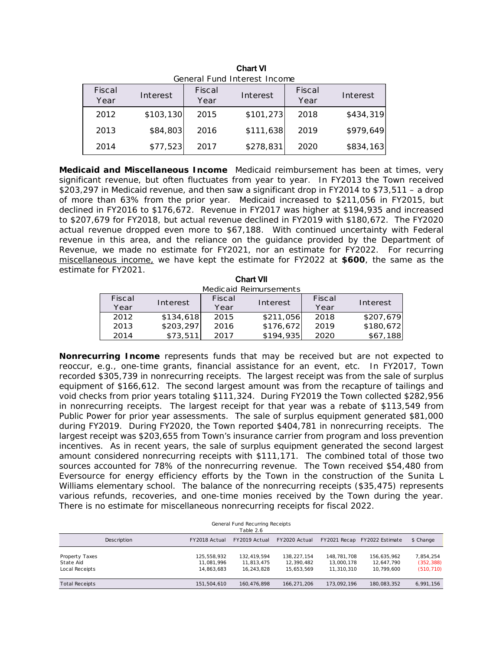| General Fund Interest Income |           |                |           |                |           |  |  |  |
|------------------------------|-----------|----------------|-----------|----------------|-----------|--|--|--|
| Fiscal<br>Year               | Interest  | Fiscal<br>Year | Interest  | Fiscal<br>Year | Interest  |  |  |  |
| 2012                         | \$103,130 | 2015           | \$101,273 | 2018           | \$434,319 |  |  |  |
| 2013                         | \$84,803  | 2016           | \$111,638 | 2019           | \$979,649 |  |  |  |
| 2014                         | \$77,523  | 2017           | \$278,831 | 2020           | \$834,163 |  |  |  |

| <b>Chart VI</b>              |  |  |  |  |  |  |  |
|------------------------------|--|--|--|--|--|--|--|
| General Fund Interest Income |  |  |  |  |  |  |  |
|                              |  |  |  |  |  |  |  |

**Medicaid and Miscellaneous Income** Medicaid reimbursement has been at times, very significant revenue, but often fluctuates from year to year. In FY2013 the Town received \$203,297 in Medicaid revenue, and then saw a significant drop in FY2014 to \$73,511 – a drop of more than 63% from the prior year. Medicaid increased to \$211,056 in FY2015, but declined in FY2016 to \$176,672. Revenue in FY2017 was higher at \$194,935 and increased to \$207,679 for FY2018, but actual revenue declined in FY2019 with \$180,672. The FY2020 actual revenue dropped even more to \$67,188. With continued uncertainty with Federal revenue in this area, and the reliance on the guidance provided by the Department of Revenue, we made no estimate for FY2021, nor an estimate for FY2022. For recurring miscellaneous income, we have kept the estimate for FY2022 at **\$600**, the same as the estimate for FY2021. **Chart VII** 

| Medicaid Reimursements |           |        |           |        |           |  |  |  |
|------------------------|-----------|--------|-----------|--------|-----------|--|--|--|
| Fiscal                 | Interest  | Fiscal | Interest  | Fiscal | Interest  |  |  |  |
| Year                   |           | Year   |           | Year   |           |  |  |  |
| 2012                   | \$134,618 | 2015   | \$211,056 | 2018   | \$207,679 |  |  |  |
| 2013                   | \$203,297 | 2016   | \$176,672 | 2019   | \$180,672 |  |  |  |
| 2014                   | \$73,511  | 2017   | \$194,935 | 2020   | \$67,188  |  |  |  |

**Nonrecurring Income** represents funds that may be received but are not expected to reoccur, e.g., one-time grants, financial assistance for an event, etc. In FY2017, Town recorded \$305,739 in nonrecurring receipts. The largest receipt was from the sale of surplus equipment of \$166,612. The second largest amount was from the recapture of tailings and void checks from prior years totaling \$111,324. During FY2019 the Town collected \$282,956 in nonrecurring receipts. The largest receipt for that year was a rebate of \$113,549 from Public Power for prior year assessments. The sale of surplus equipment generated \$81,000 during FY2019. During FY2020, the Town reported \$404,781 in nonrecurring receipts. The largest receipt was \$203,655 from Town's insurance carrier from program and loss prevention incentives. As in recent years, the sale of surplus equipment generated the second largest amount considered nonrecurring receipts with \$111,171. The combined total of those two sources accounted for 78% of the nonrecurring revenue. The Town received \$54,480 from Eversource for energy efficiency efforts by the Town in the construction of the Sunita L Williams elementary school. The balance of the nonrecurring receipts (\$35,475) represents various refunds, recoveries, and one-time monies received by the Town during the year. There is no estimate for miscellaneous nonrecurring receipts for fiscal 2022. Fiscal Year 2021 Proposed Budget<br>
Chart VI<br>
ISCAL Interest<br>
Fiscal<br>
Mear Interest<br>
Fiscal<br>
Mear Interest<br>
Proposed Budget<br>
Proposed Budget<br>
Proposed Budget<br>
Proposed Budget<br>
The Savenus interest<br>
Proposed S111,638<br>
2017 \$

| General Fund Recurring Receipts<br>Table 2.6  |             |                                         |                                         |                                         |                                         |                                         |                                       |  |  |
|-----------------------------------------------|-------------|-----------------------------------------|-----------------------------------------|-----------------------------------------|-----------------------------------------|-----------------------------------------|---------------------------------------|--|--|
|                                               | Description | FY2018 Actual                           | FY2019 Actual                           | FY2020 Actual                           | FY2021 Recap                            | FY2022 Estimate                         | \$ Change                             |  |  |
| Property Taxes<br>State Aid<br>Local Receipts |             | 125,558,932<br>11.081.996<br>14.863.683 | 132,419,594<br>11.813.475<br>16.243.828 | 138,227,154<br>12,390,482<br>15.653.569 | 148,781,708<br>13,000,178<br>11,310,310 | 156,635,962<br>12,647,790<br>10.799.600 | 7,854,254<br>(352, 388)<br>(510, 710) |  |  |
| <b>Total Receipts</b>                         |             | 151.504.610                             | 160.476.898                             | 166.271.206                             | 173.092.196                             | 180.083.352                             | 6,991,156                             |  |  |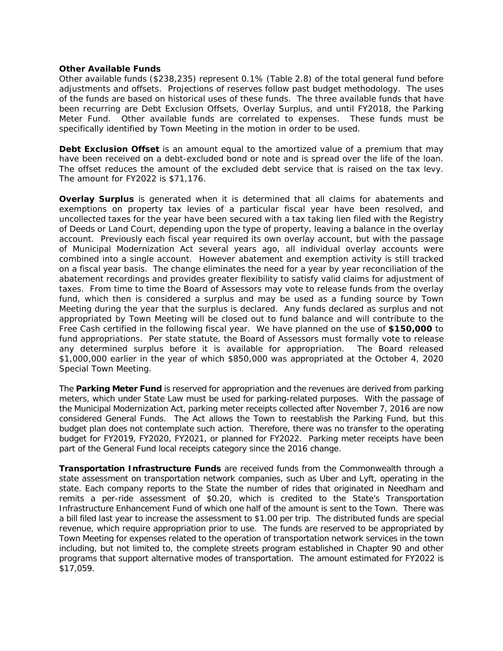## **Other Available Funds**

Other available funds (\$238,235) represent 0.1% (Table 2.8) of the total general fund before adjustments and offsets. Projections of reserves follow past budget methodology. The uses of the funds are based on historical uses of these funds. The three available funds that have been recurring are Debt Exclusion Offsets, Overlay Surplus, and until FY2018, the Parking Meter Fund. Other available funds are correlated to expenses. These funds must be specifically identified by Town Meeting in the motion in order to be used.

**Debt Exclusion Offset** is an amount equal to the amortized value of a premium that may have been received on a debt-excluded bond or note and is spread over the life of the loan. The offset reduces the amount of the excluded debt service that is raised on the tax levy. The amount for FY2022 is \$71,176.

**Overlay Surplus** is generated when it is determined that all claims for abatements and exemptions on property tax levies of a particular fiscal year have been resolved, and uncollected taxes for the year have been secured with a tax taking lien filed with the Registry of Deeds or Land Court, depending upon the type of property, leaving a balance in the overlay account. Previously each fiscal year required its own overlay account, but with the passage of Municipal Modernization Act several years ago, all individual overlay accounts were combined into a single account. However abatement and exemption activity is still tracked on a fiscal year basis. The change eliminates the need for a year by year reconciliation of the abatement recordings and provides greater flexibility to satisfy valid claims for adjustment of taxes. From time to time the Board of Assessors may vote to release funds from the overlay fund, which then is considered a surplus and may be used as a funding source by Town Meeting during the year that the surplus is declared. Any funds declared as surplus and not appropriated by Town Meeting will be closed out to fund balance and will contribute to the Free Cash certified in the following fiscal year. We have planned on the use of **\$150,000** to fund appropriations. Per state statute, the Board of Assessors must formally vote to release any determined surplus before it is available for appropriation. The Board released \$1,000,000 earlier in the year of which \$850,000 was appropriated at the October 4, 2020 Special Town Meeting. Fiscal Year 2021 Proposed Budget<br>
represent 0.1% (Table 2.<br>
ons of reserves follow past<br>
all uses of these funds. Then<br>
all uses of these funds in Offsets, Overlay Surplu<br>
and are correlated to electing in the motion in or

The **Parking Meter Fund** is reserved for appropriation and the revenues are derived from parking meters, which under State Law must be used for parking-related purposes. With the passage of the Municipal Modernization Act, parking meter receipts collected after November 7, 2016 are now considered General Funds. The Act allows the Town to reestablish the Parking Fund, but this budget plan does not contemplate such action. Therefore, there was no transfer to the operating budget for FY2019, FY2020, FY2021, or planned for FY2022. Parking meter receipts have been part of the General Fund local receipts category since the 2016 change.

**Transportation Infrastructure Funds** are received funds from the Commonwealth through a state assessment on transportation network companies, such as Uber and Lyft, operating in the state. Each company reports to the State the number of rides that originated in Needham and remits a per-ride assessment of \$0.20, which is credited to the State's Transportation Infrastructure Enhancement Fund of which one half of the amount is sent to the Town. There was a bill filed last year to increase the assessment to \$1.00 per trip. The distributed funds are special revenue, which require appropriation prior to use. The funds are reserved to be appropriated by Town Meeting for expenses related to the operation of transportation network services in the town including, but not limited to, the complete streets program established in Chapter 90 and other programs that support alternative modes of transportation. The amount estimated for FY2022 is \$17,059.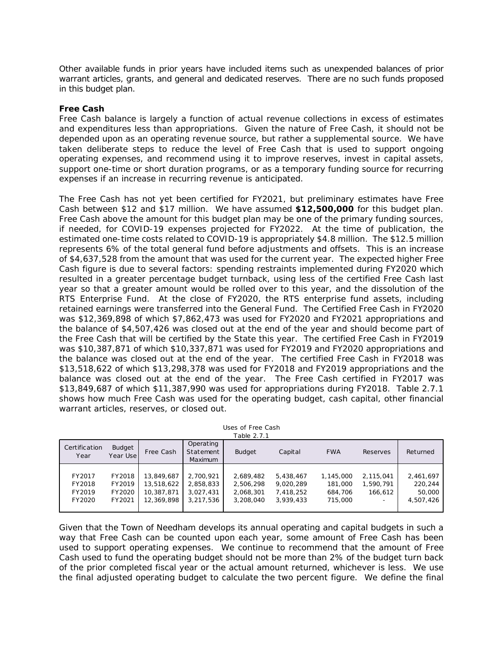Other available funds in prior years have included items such as unexpended balances of prior warrant articles, grants, and general and dedicated reserves. There are no such funds proposed in this budget plan.

## **Free Cash**

Free Cash balance is largely a function of actual revenue collections in excess of estimates and expenditures less than appropriations. Given the nature of Free Cash, it should not be depended upon as an operating revenue source, but rather a supplemental source. We have taken deliberate steps to reduce the level of Free Cash that is used to support ongoing operating expenses, and recommend using it to improve reserves, invest in capital assets, support one-time or short duration programs, or as a temporary funding source for recurring expenses if an increase in recurring revenue is anticipated.

The Free Cash has not yet been certified for FY2021, but preliminary estimates have Free Cash between \$12 and \$17 million. We have assumed **\$12,500,000** for this budget plan. Free Cash above the amount for this budget plan may be one of the primary funding sources, if needed, for COVID-19 expenses projected for FY2022. At the time of publication, the estimated one-time costs related to COVID-19 is appropriately \$4.8 million. The \$12.5 million represents 6% of the total general fund before adjustments and offsets. This is an increase of \$4,637,528 from the amount that was used for the current year. The expected higher Free Cash figure is due to several factors: spending restraints implemented during FY2020 which resulted in a greater percentage budget turnback, using less of the certified Free Cash last year so that a greater amount would be rolled over to this year, and the dissolution of the RTS Enterprise Fund. At the close of FY2020, the RTS enterprise fund assets, including retained earnings were transferred into the General Fund. The Certified Free Cash in FY2020 was \$12,369,898 of which \$7,862,473 was used for FY2020 and FY2021 appropriations and the balance of \$4,507,426 was closed out at the end of the year and should become part of the Free Cash that will be certified by the State this year. The certified Free Cash in FY2019 was \$10,387,871 of which \$10,337,871 was used for FY2019 and FY2020 appropriations and the balance was closed out at the end of the year. The certified Free Cash in FY2018 was \$13,518,622 of which \$13,298,378 was used for FY2018 and FY2019 appropriations and the balance was closed out at the end of the year. The Free Cash certified in FY2017 was \$13,849,687 of which \$11,387,990 was used for appropriations during FY2018. Table 2.7.1 shows how much Free Cash was used for the operating budget, cash capital, other financial warrant articles, reserves, or closed out. Fiscal Year 2021 Proposed Budget<br>
Shave included items such<br>
and dedicated reserves.<br>
and dedicated reserves.<br>
and its included items such<br>
privations. Given the nature<br>
privations. Given the nature<br>
privation is compared

| Uses of Free Cash |  |
|-------------------|--|
| Table 2.7.1       |  |

| Certification<br>Year | <b>Budget</b><br>Year Use | Free Cash  | Operating<br>Statement<br>Maximum | <b>Budget</b> | Capital   | <b>FWA</b> | Reserves  | Returned  |
|-----------------------|---------------------------|------------|-----------------------------------|---------------|-----------|------------|-----------|-----------|
|                       |                           |            |                                   |               |           |            |           |           |
| FY2017                | FY2018                    | 13,849,687 | 2,700,921                         | 2,689,482     | 5,438,467 | 1,145,000  | 2,115,041 | 2,461,697 |
| FY2018                | FY2019                    | 13,518,622 | 2,858,833                         | 2,506,298     | 9.020.289 | 181,000    | 1,590,791 | 220,244   |
| FY2019                | FY2020                    | 10,387,871 | 3.027.431                         | 2,068,301     | 7.418.252 | 684,706    | 166.612   | 50,000    |
| FY2020                | FY2021                    | 12,369,898 | 3.217.536                         | 3,208,040     | 3.939.433 | 715,000    |           | 4,507,426 |
|                       |                           |            |                                   |               |           |            |           |           |

Given that the Town of Needham develops its annual operating and capital budgets in such a way that Free Cash can be counted upon each year, some amount of Free Cash has been used to support operating expenses. We continue to recommend that the amount of Free Cash used to fund the operating budget should not be more than 2% of the budget turn back of the prior completed fiscal year or the actual amount returned, whichever is less. We use the final adjusted operating budget to calculate the two percent figure. We define the final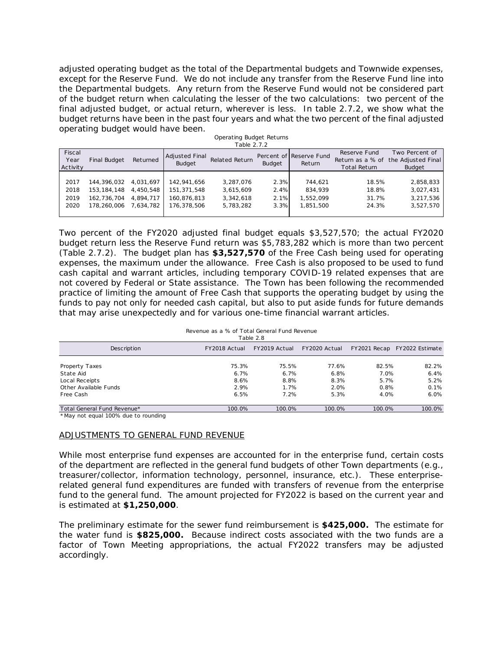adjusted operating budget as the total of the Departmental budgets and Townwide expenses, except for the Reserve Fund. We do not include any transfer from the Reserve Fund line into the Departmental budgets. Any return from the Reserve Fund would not be considered part of the budget return when calculating the lesser of the two calculations: two percent of the final adjusted budget, or actual return, wherever is less. In table 2.7.2, we show what the budget returns have been in the past four years and what the two percent of the final adjusted operating budget would have been.

|                            |               |           |                                        | able 2.7.2            |               |                                   |                                     |                                                                        |
|----------------------------|---------------|-----------|----------------------------------------|-----------------------|---------------|-----------------------------------|-------------------------------------|------------------------------------------------------------------------|
| Fiscal<br>Year<br>Activity | Final Budget  | Returned  | <b>Adjusted Final</b><br><b>Budget</b> | <b>Related Return</b> | <b>Budget</b> | Percent of Reserve Fund<br>Return | Reserve Fund<br><b>Total Return</b> | Two Percent of<br>Return as a % of the Adjusted Final<br><b>Budget</b> |
|                            |               |           |                                        |                       |               |                                   |                                     |                                                                        |
| 2017                       | 144,396,032   | 4.031.697 | 142.941.656                            | 3.287.076             | 2.3%          | 744.621                           | 18.5%                               | 2,858,833                                                              |
| 2018                       | 153, 184, 148 | 4,450,548 | 151,371,548                            | 3,615,609             | 2.4%          | 834,939                           | 18.8%                               | 3,027,431                                                              |
| 2019                       | 162.736.704   | 4.894.717 | 160.876.813                            | 3.342.618             | 2.1%          | 1.552.099                         | 31.7%                               | 3,217,536                                                              |
| 2020                       | 178,260,006   | 7,634,782 | 176.378.506                            | 5.783.282             | 3.3%          | 1.851.500                         | 24.3%                               | 3,527,570                                                              |
|                            |               |           |                                        |                       |               |                                   |                                     |                                                                        |

Operating Budget Returns Table 2.7.2

Two percent of the FY2020 adjusted final budget equals \$3,527,570; the actual FY2020 budget return less the Reserve Fund return was \$5,783,282 which is more than two percent (Table 2.7.2). The budget plan has **\$3,527,570** of the Free Cash being used for operating expenses, the maximum under the allowance. Free Cash is also proposed to be used to fund cash capital and warrant articles, including temporary COVID-19 related expenses that are not covered by Federal or State assistance. The Town has been following the recommended practice of limiting the amount of Free Cash that supports the operating budget by using the funds to pay not only for needed cash capital, but also to put aside funds for future demands that may arise unexpectedly and for various one-time financial warrant articles. Fiscal Year 2021 Proposed Budget<br>
cotal of the Departmental<br>
do not include any transfer<br>
ting the Ieser of the two<br>
ting the Ieser of the two<br>
ting the Ieser of the two<br>
starting Budget Returns<br>
Table 2.7.2<br>
Depreting Bu

#### Revenue as a % of Total General Fund Revenue

| Table 2.8                   |               |               |               |        |                              |  |  |  |
|-----------------------------|---------------|---------------|---------------|--------|------------------------------|--|--|--|
| Description                 | FY2018 Actual | FY2019 Actual | FY2020 Actual |        | FY2021 Recap FY2022 Estimate |  |  |  |
| Property Taxes              | 75.3%         | 75.5%         | 77.6%         | 82.5%  | 82.2%                        |  |  |  |
| State Aid                   | 6.7%          | 6.7%          | 6.8%          | 7.0%   | 6.4%                         |  |  |  |
| Local Receipts              | 8.6%          | 8.8%          | 8.3%          | 5.7%   | 5.2%                         |  |  |  |
| Other Available Funds       | 2.9%          | 1.7%          | 2.0%          | 0.8%   | 0.1%                         |  |  |  |
| Free Cash                   | 6.5%          | 7.2%          | 5.3%          | 4.0%   | 6.0%                         |  |  |  |
| Total General Fund Revenue* | 100.0%        | 100.0%        | 100.0%        | 100.0% | 100.0%                       |  |  |  |

\*May not equal 100% due to rounding

#### ADJUSTMENTS TO GENERAL FUND REVENUE

While most enterprise fund expenses are accounted for in the enterprise fund, certain costs of the department are reflected in the general fund budgets of other Town departments (e.g., treasurer/collector, information technology, personnel, insurance, etc.). These enterpriserelated general fund expenditures are funded with transfers of revenue from the enterprise fund to the general fund. The amount projected for FY2022 is based on the current year and is estimated at **\$1,250,000**.

The preliminary estimate for the sewer fund reimbursement is **\$425,000.** The estimate for the water fund is **\$825,000.** Because indirect costs associated with the two funds are a factor of Town Meeting appropriations, the actual FY2022 transfers may be adjusted accordingly.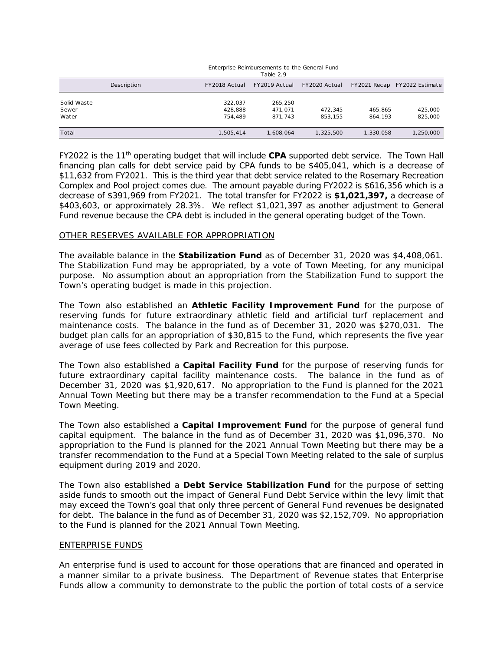|                      |                    |                    | Table 2.9          |               |           |                              |
|----------------------|--------------------|--------------------|--------------------|---------------|-----------|------------------------------|
|                      | <b>Description</b> | FY2018 Actual      | FY2019 Actual      | FY2020 Actual |           | FY2021 Recap FY2022 Estimate |
| Solid Waste<br>Sewer |                    | 322.037<br>428.888 | 265,250<br>471.071 | 472.345       | 465.865   | 425,000                      |
| Water                |                    | 754,489            | 871.743            | 853.155       | 864.193   | 825,000                      |
| Total                |                    | 1.505.414          | 1.608.064          | 1,325,500     | 1,330,058 | 1,250,000                    |

## Enterprise Reimbursements to the General Fund

FY2022 is the 11th operating budget that will include **CPA** supported debt service. The Town Hall financing plan calls for debt service paid by CPA funds to be \$405,041, which is a decrease of \$11,632 from FY2021. This is the third year that debt service related to the Rosemary Recreation Complex and Pool project comes due. The amount payable during FY2022 is \$616,356 which is a decrease of \$391,969 from FY2021. The total transfer for FY2022 is **\$1,021,397,** a decrease of \$403,603, or approximately 28.3%. We reflect \$1,021,397 as another adjustment to General Fund revenue because the CPA debt is included in the general operating budget of the Town. Fiscal Year 2021 Proposed Budget<br>
Enterprise Reimbursements to the<br>
Table 2.9<br>
FY2018 Actual FY2019 Actual F<br>
Table 2.9<br>  $322.037$   $265.250$ <br>  $428.888$   $471.071$ <br>  $754.489$   $871.743$ <br>  $1.505.414$   $1.608.064$ <br>
that will in

### OTHER RESERVES AVAILABLE FOR APPROPRIATION

The available balance in the **Stabilization Fund** as of December 31, 2020 was \$4,408,061. The Stabilization Fund may be appropriated, by a vote of Town Meeting, for any municipal purpose. No assumption about an appropriation from the Stabilization Fund to support the Town's operating budget is made in this projection.

The Town also established an **Athletic Facility Improvement Fund** for the purpose of reserving funds for future extraordinary athletic field and artificial turf replacement and maintenance costs. The balance in the fund as of December 31, 2020 was \$270,031. The budget plan calls for an appropriation of \$30,815 to the Fund, which represents the five year average of use fees collected by Park and Recreation for this purpose.

The Town also established a **Capital Facility Fund** for the purpose of reserving funds for future extraordinary capital facility maintenance costs. The balance in the fund as of December 31, 2020 was \$1,920,617. No appropriation to the Fund is planned for the 2021 Annual Town Meeting but there may be a transfer recommendation to the Fund at a Special Town Meeting.

The Town also established a **Capital Improvement Fund** for the purpose of general fund capital equipment. The balance in the fund as of December 31, 2020 was \$1,096,370. No appropriation to the Fund is planned for the 2021 Annual Town Meeting but there may be a transfer recommendation to the Fund at a Special Town Meeting related to the sale of surplus equipment during 2019 and 2020.

The Town also established a **Debt Service Stabilization Fund** for the purpose of setting aside funds to smooth out the impact of General Fund Debt Service within the levy limit that may exceed the Town's goal that only three percent of General Fund revenues be designated for debt. The balance in the fund as of December 31, 2020 was \$2,152,709. No appropriation to the Fund is planned for the 2021 Annual Town Meeting.

### ENTERPRISE FUNDS

An enterprise fund is used to account for those operations that are financed and operated in a manner similar to a private business. The Department of Revenue states that Enterprise Funds allow a community to demonstrate to the public the portion of total costs of a service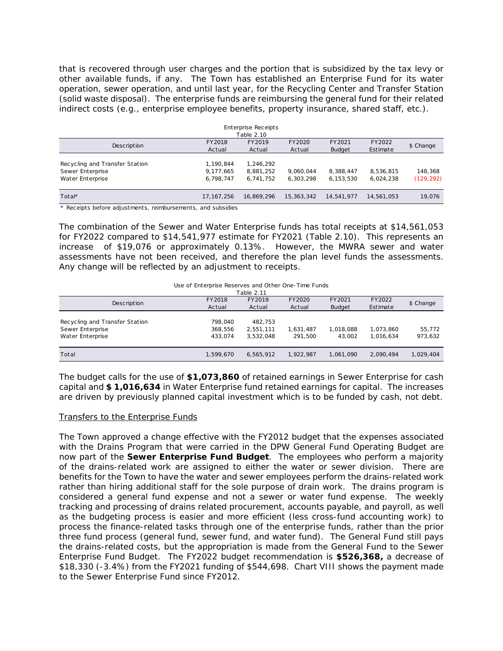that is recovered through user charges and the portion that is subsidized by the tax levy or other available funds, if any. The Town has established an Enterprise Fund for its water operation, sewer operation, and until last year, for the Recycling Center and Transfer Station (solid waste disposal). The enterprise funds are reimbursing the general fund for their related indirect costs (e.g., enterprise employee benefits, property insurance, shared staff, etc.).

|                                                                        |                                     | Enterprise Receipts<br>Table 2.10   |                        |                         |                        |                       |
|------------------------------------------------------------------------|-------------------------------------|-------------------------------------|------------------------|-------------------------|------------------------|-----------------------|
| Description                                                            | FY2018<br>Actual                    | FY2019<br>Actual                    | FY2020<br>Actual       | FY2021<br><b>Budget</b> | FY2022<br>Estimate     | \$ Change             |
| Recycling and Transfer Station<br>Sewer Enterprise<br>Water Enterprise | 1,190,844<br>9,177,665<br>6.798.747 | 1.246.292<br>8,881,252<br>6.741.752 | 9.060.044<br>6.303.298 | 8,388,447<br>6.153.530  | 8,536,815<br>6.024.238 | 148.368<br>(129, 292) |
| Total*                                                                 | 17.167.256                          | 16.869.296                          | 15, 363, 342           | 14,541,977              | 14,561,053             | 19,076                |

\* Receipts before adjustments, reimbursements, and subsidies

The combination of the Sewer and Water Enterprise funds has total receipts at \$14,561,053 for FY2022 compared to \$14,541,977 estimate for FY2021 (Table 2.10). This represents an increase of \$19,076 or approximately 0.13%. However, the MWRA sewer and water assessments have not been received, and therefore the plan level funds the assessments. Any change will be reflected by an adjustment to receipts.

#### Use of Enterprise Reserves and Other One-Time Funds

| Table 2.11                     |           |           |           |               |           |           |  |  |
|--------------------------------|-----------|-----------|-----------|---------------|-----------|-----------|--|--|
| Description                    | FY2018    | FY2019    | FY2020    | FY2021        | FY2022    | \$ Change |  |  |
|                                | Actual    | Actual    | Actual    | <b>Budget</b> | Estimate  |           |  |  |
|                                |           |           |           |               |           |           |  |  |
| Recycling and Transfer Station | 798.040   | 482,753   |           |               |           |           |  |  |
| Sewer Enterprise               | 368,556   | 2,551,111 | 1,631,487 | 1.018.088     | 1,073,860 | 55,772    |  |  |
| Water Enterprise               | 433.074   | 3,532,048 | 291.500   | 43.002        | 1.016.634 | 973,632   |  |  |
|                                |           |           |           |               |           |           |  |  |
| Total                          | 1.599.670 | 6.565.912 | 1.922.987 | 1,061,090     | 2.090.494 | 1,029,404 |  |  |

The budget calls for the use of **\$1,073,860** of retained earnings in Sewer Enterprise for cash capital and **\$ 1,016,634** in Water Enterprise fund retained earnings for capital. The increases are driven by previously planned capital investment which is to be funded by cash, not debt.

### Transfers to the Enterprise Funds

The Town approved a change effective with the FY2012 budget that the expenses associated with the Drains Program that were carried in the DPW General Fund Operating Budget are now part of the **Sewer Enterprise Fund Budget**. The employees who perform a majority of the drains-related work are assigned to either the water or sewer division. There are benefits for the Town to have the water and sewer employees perform the drains-related work rather than hiring additional staff for the sole purpose of drain work. The drains program is considered a general fund expense and not a sewer or water fund expense. The weekly tracking and processing of drains related procurement, accounts payable, and payroll, as well as the budgeting process is easier and more efficient (less cross-fund accounting work) to process the finance-related tasks through one of the enterprise funds, rather than the prior three fund process (general fund, sewer fund, and water fund). The General Fund still pays the drains-related costs, but the appropriation is made from the General Fund to the Sewer Enterprise Fund Budget. The FY2022 budget recommendation is **\$526,368,** a decrease of \$18,330 (-3.4%) from the FY2021 funding of \$544,698. Chart VIII shows the payment made to the Sewer Enterprise Fund since FY2012. Fiscal Year 2021 Proposed Budget<br>
arges and the portion that<br>
in the Town has established<br>
trill last year, for the Record<br>
Fisce funds are reimbursing<br>
ployee benefits, property<br>  $\frac{\text{Fape 210}}{\text{Rctual}}$ <br>  $\frac{\text{FY2018}}{\text{FY$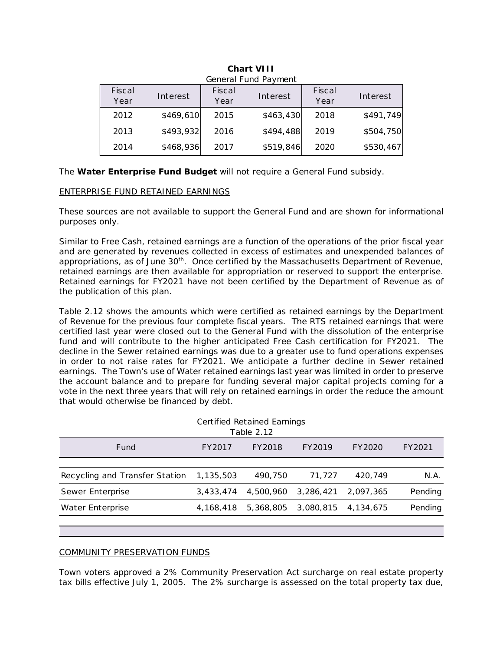| Fiscal<br>Year | Interest  | Fiscal<br>Year | Interest  | Fiscal<br>Year | Interest  |
|----------------|-----------|----------------|-----------|----------------|-----------|
| 2012           | \$469,610 | 2015           | \$463,430 | 2018           | \$491,749 |
| 2013           | \$493,932 | 2016           | \$494,488 | 2019           | \$504,750 |
| 2014           | \$468,936 | 2017           | \$519,846 | 2020           | \$530,467 |

| <b>Chart VIII</b>    |  |  |
|----------------------|--|--|
| Conoral Fund Daymont |  |  |

# ENTERPRISE FUND RETAINED EARNINGS

|                                                         |                                |                                                                           |                | Fiscal Year 2021 Proposed Budget |                |                                                                                                                                                                                                                                                                                                                                                                                                                                                                                                                                                                                                                                                                                                   |         |
|---------------------------------------------------------|--------------------------------|---------------------------------------------------------------------------|----------------|----------------------------------|----------------|---------------------------------------------------------------------------------------------------------------------------------------------------------------------------------------------------------------------------------------------------------------------------------------------------------------------------------------------------------------------------------------------------------------------------------------------------------------------------------------------------------------------------------------------------------------------------------------------------------------------------------------------------------------------------------------------------|---------|
|                                                         |                                |                                                                           |                |                                  |                |                                                                                                                                                                                                                                                                                                                                                                                                                                                                                                                                                                                                                                                                                                   |         |
| <b>Chart VIII</b><br>General Fund Payment               |                                |                                                                           |                |                                  |                |                                                                                                                                                                                                                                                                                                                                                                                                                                                                                                                                                                                                                                                                                                   |         |
|                                                         | Fiscal<br>Year                 | Interest                                                                  | Fiscal<br>Year | Interest                         | Fiscal<br>Year | Interest                                                                                                                                                                                                                                                                                                                                                                                                                                                                                                                                                                                                                                                                                          |         |
|                                                         | 2012                           | \$469,610                                                                 | 2015           | \$463,430                        | 2018           | \$491,749                                                                                                                                                                                                                                                                                                                                                                                                                                                                                                                                                                                                                                                                                         |         |
|                                                         | 2013                           | \$493,932                                                                 | 2016           | \$494,488                        | 2019           | \$504,750                                                                                                                                                                                                                                                                                                                                                                                                                                                                                                                                                                                                                                                                                         |         |
|                                                         | 2014                           | \$468,936                                                                 | 2017           | \$519,846                        | 2020           | \$530,467                                                                                                                                                                                                                                                                                                                                                                                                                                                                                                                                                                                                                                                                                         |         |
|                                                         |                                | The Water Enterprise Fund Budget will not require a General Fund subsidy. |                |                                  |                |                                                                                                                                                                                                                                                                                                                                                                                                                                                                                                                                                                                                                                                                                                   |         |
|                                                         |                                | <b>ENTERPRISE FUND RETAINED EARNINGS</b>                                  |                |                                  |                |                                                                                                                                                                                                                                                                                                                                                                                                                                                                                                                                                                                                                                                                                                   |         |
| purposes only.                                          |                                |                                                                           |                |                                  |                | These sources are not available to support the General Fund and are shown for informational                                                                                                                                                                                                                                                                                                                                                                                                                                                                                                                                                                                                       |         |
|                                                         | the publication of this plan.  |                                                                           |                |                                  |                | Similar to Free Cash, retained earnings are a function of the operations of the prior fiscal year<br>and are generated by revenues collected in excess of estimates and unexpended balances of<br>appropriations, as of June 30 <sup>th</sup> . Once certified by the Massachusetts Department of Revenue,<br>retained earnings are then available for appropriation or reserved to support the enterprise.<br>Retained earnings for FY2021 have not been certified by the Department of Revenue as of<br>Table 2.12 shows the amounts which were certified as retained earnings by the Department<br>of Revenue for the previous four complete fiscal years. The RTS retained earnings that were |         |
|                                                         |                                | that would otherwise be financed by debt.                                 |                |                                  |                | certified last year were closed out to the General Fund with the dissolution of the enterprise<br>fund and will contribute to the higher anticipated Free Cash certification for FY2021. The<br>decline in the Sewer retained earnings was due to a greater use to fund operations expenses<br>in order to not raise rates for FY2021. We anticipate a further decline in Sewer retained<br>earnings. The Town's use of Water retained earnings last year was limited in order to preserve<br>the account balance and to prepare for funding several major capital projects coming for a<br>vote in the next three years that will rely on retained earnings in order the reduce the amount       |         |
| <b>Certified Retained Earnings</b><br><b>Table 2.12</b> |                                |                                                                           |                |                                  |                |                                                                                                                                                                                                                                                                                                                                                                                                                                                                                                                                                                                                                                                                                                   |         |
|                                                         | Fund                           |                                                                           | FY2017         | FY2018                           | FY2019         | FY2020                                                                                                                                                                                                                                                                                                                                                                                                                                                                                                                                                                                                                                                                                            | FY2021  |
|                                                         | Recycling and Transfer Station |                                                                           | 1,135,503      | 490,750                          | 71,727         | 420,749                                                                                                                                                                                                                                                                                                                                                                                                                                                                                                                                                                                                                                                                                           | N.A.    |
| Sewer Enterprise                                        |                                |                                                                           | 3,433,474      | 4,500,960                        | 3,286,421      | 2,097,365                                                                                                                                                                                                                                                                                                                                                                                                                                                                                                                                                                                                                                                                                         | Pending |
| Water Enterprise                                        |                                |                                                                           | 4, 168, 418    | 5,368,805                        | 3,080,815      | 4,134,675                                                                                                                                                                                                                                                                                                                                                                                                                                                                                                                                                                                                                                                                                         | Pending |
|                                                         |                                |                                                                           |                |                                  |                |                                                                                                                                                                                                                                                                                                                                                                                                                                                                                                                                                                                                                                                                                                   |         |
|                                                         |                                | <b>COMMUNITY PRESERVATION FUNDS</b>                                       |                |                                  |                |                                                                                                                                                                                                                                                                                                                                                                                                                                                                                                                                                                                                                                                                                                   |         |
|                                                         |                                |                                                                           |                |                                  |                | Town voters approved a 2% Community Preservation Act surcharge on real estate property<br>tax bills effective July 1, 2005. The 2% surcharge is assessed on the total property tax due,                                                                                                                                                                                                                                                                                                                                                                                                                                                                                                           |         |
|                                                         |                                |                                                                           |                | Section 2 - 20                   |                |                                                                                                                                                                                                                                                                                                                                                                                                                                                                                                                                                                                                                                                                                                   |         |

### COMMUNITY PRESERVATION FUNDS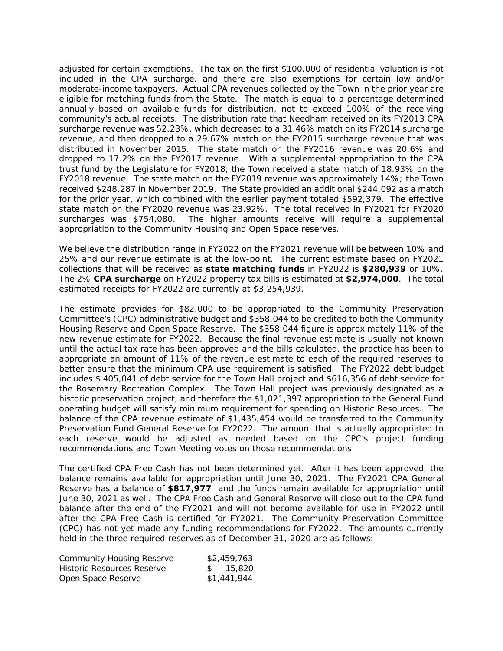adjusted for certain exemptions. The tax on the first \$100,000 of residential valuation is not included in the CPA surcharge, and there are also exemptions for certain low and/or moderate-income taxpayers. Actual CPA revenues collected by the Town in the prior year are eligible for matching funds from the State. The match is equal to a percentage determined annually based on available funds for distribution, not to exceed 100% of the receiving community's actual receipts. The distribution rate that Needham received on its FY2013 CPA surcharge revenue was 52.23%, which decreased to a 31.46% match on its FY2014 surcharge revenue, and then dropped to a 29.67% match on the FY2015 surcharge revenue that was distributed in November 2015. The state match on the FY2016 revenue was 20.6% and dropped to 17.2% on the FY2017 revenue. With a supplemental appropriation to the CPA trust fund by the Legislature for FY2018, the Town received a state match of 18.93% on the FY2018 revenue. The state match on the FY2019 revenue was approximately 14%; the Town received \$248,287 in November 2019. The State provided an additional \$244,092 as a match for the prior year, which combined with the earlier payment totaled \$592,379. The effective state match on the FY2020 revenue was 23.92%. The total received in FY2021 for FY2020 surcharges was \$754,080. The higher amounts receive will require a supplemental appropriation to the Community Housing and Open Space reserves. Fiscal Year 2021 Proposed Budget<br>The tax on the first \$100, and there are also extalled CPA revenues collected<br>the State. The match is stord distribution, not to distribution and the Nate are that Needware that is stord d

We believe the distribution range in FY2022 on the FY2021 revenue will be between 10% and 25% and our revenue estimate is at the low-point. The current estimate based on FY2021 collections that will be received as **state matching funds** in FY2022 is **\$280,939** or 10%. The 2% **CPA surcharge** on FY2022 property tax bills is estimated at **\$2,974,000**. The total estimated receipts for FY2022 are currently at \$3,254,939.

The estimate provides for \$82,000 to be appropriated to the Community Preservation Committee's (CPC) administrative budget and \$358,044 to be credited to both the Community Housing Reserve and Open Space Reserve. The \$358,044 figure is approximately 11% of the new revenue estimate for FY2022. Because the final revenue estimate is usually not known until the actual tax rate has been approved and the bills calculated, the practice has been to appropriate an amount of 11% of the revenue estimate to each of the required reserves to better ensure that the minimum CPA use requirement is satisfied. The FY2022 debt budget includes \$ 405,041 of debt service for the Town Hall project and \$616,356 of debt service for the Rosemary Recreation Complex. The Town Hall project was previously designated as a historic preservation project, and therefore the \$1,021,397 appropriation to the General Fund operating budget will satisfy minimum requirement for spending on Historic Resources. The balance of the CPA revenue estimate of \$1,435,454 would be transferred to the Community Preservation Fund General Reserve for FY2022. The amount that is actually appropriated to each reserve would be adjusted as needed based on the CPC's project funding recommendations and Town Meeting votes on those recommendations.

The certified CPA Free Cash has not been determined yet. After it has been approved, the balance remains available for appropriation until June 30, 2021. The FY2021 CPA General Reserve has a balance of **\$817,977** and the funds remain available for appropriation until June 30, 2021 as well. The CPA Free Cash and General Reserve will close out to the CPA fund balance after the end of the FY2021 and will not become available for use in FY2022 until after the CPA Free Cash is certified for FY2021. The Community Preservation Committee (CPC) has not yet made any funding recommendations for FY2022. The amounts currently held in the three required reserves as of December 31, 2020 are as follows:

| <b>Community Housing Reserve</b> | \$2,459,763 |
|----------------------------------|-------------|
| Historic Resources Reserve       | \$ 15.820   |
| Open Space Reserve               | \$1,441,944 |